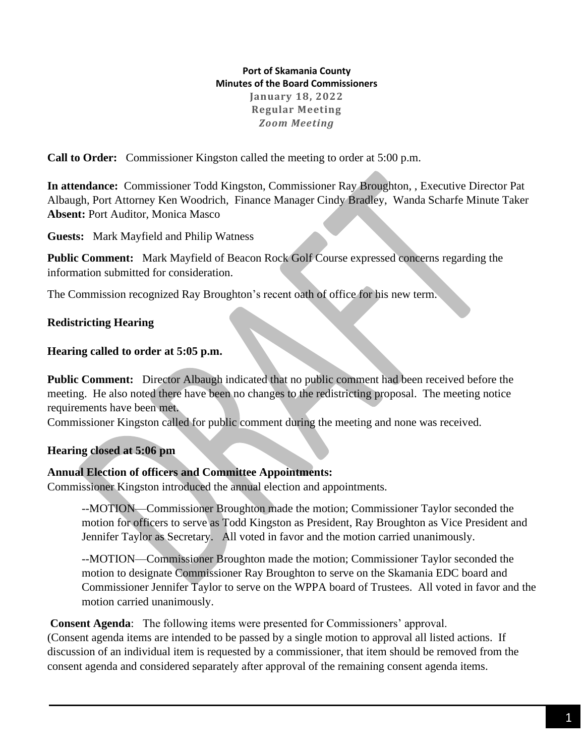**Port of Skamania County Minutes of the Board Commissioners January 18, 2022 Regular Meeting**  *Zoom Meeting*

**Call to Order:** Commissioner Kingston called the meeting to order at 5:00 p.m.

**In attendance:** Commissioner Todd Kingston, Commissioner Ray Broughton, , Executive Director Pat Albaugh, Port Attorney Ken Woodrich, Finance Manager Cindy Bradley, Wanda Scharfe Minute Taker **Absent:** Port Auditor, Monica Masco

**Guests:** Mark Mayfield and Philip Watness

**Public Comment:** Mark Mayfield of Beacon Rock Golf Course expressed concerns regarding the information submitted for consideration.

The Commission recognized Ray Broughton's recent oath of office for his new term.

## **Redistricting Hearing**

### **Hearing called to order at 5:05 p.m.**

**Public Comment:** Director Albaugh indicated that no public comment had been received before the meeting. He also noted there have been no changes to the redistricting proposal. The meeting notice requirements have been met.

Commissioner Kingston called for public comment during the meeting and none was received.

#### **Hearing closed at 5:06 pm**

## **Annual Election of officers and Committee Appointments:**

Commissioner Kingston introduced the annual election and appointments.

--MOTION—Commissioner Broughton made the motion; Commissioner Taylor seconded the motion for officers to serve as Todd Kingston as President, Ray Broughton as Vice President and Jennifer Taylor as Secretary. All voted in favor and the motion carried unanimously.

--MOTION—Commissioner Broughton made the motion; Commissioner Taylor seconded the motion to designate Commissioner Ray Broughton to serve on the Skamania EDC board and Commissioner Jennifer Taylor to serve on the WPPA board of Trustees. All voted in favor and the motion carried unanimously.

**Consent Agenda**: The following items were presented for Commissioners' approval. (Consent agenda items are intended to be passed by a single motion to approval all listed actions. If discussion of an individual item is requested by a commissioner, that item should be removed from the consent agenda and considered separately after approval of the remaining consent agenda items.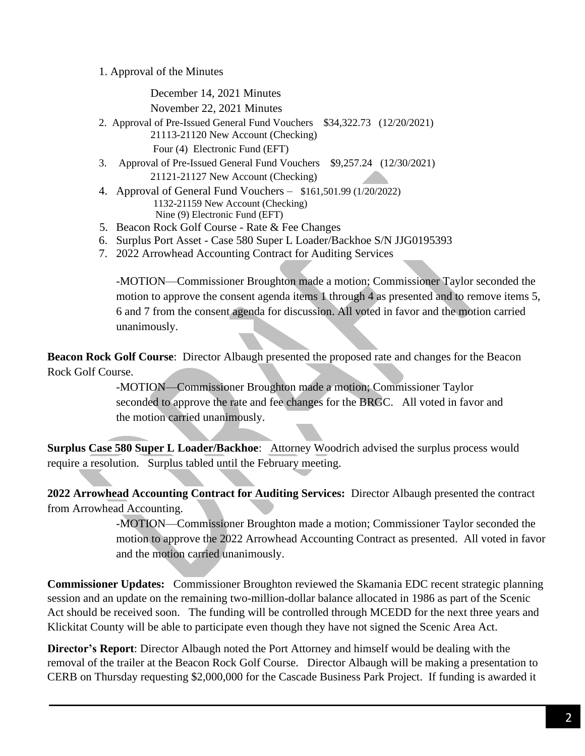1. Approval of the Minutes

December 14, 2021 Minutes November 22, 2021 Minutes 2. Approval of Pre-Issued General Fund Vouchers \$34,322.73 (12/20/2021) 21113-21120 New Account (Checking) Four (4) Electronic Fund (EFT) 3. Approval of Pre-Issued General Fund Vouchers \$9,257.24 (12/30/2021) 21121-21127 New Account (Checking) 4. Approval of General Fund Vouchers – \$161,501.99 (1/20/2022) 1132-21159 New Account (Checking) Nine (9) Electronic Fund (EFT)

- 5. Beacon Rock Golf Course Rate & Fee Changes
- 6. Surplus Port Asset Case 580 Super L Loader/Backhoe S/N JJG0195393
- 7. 2022 Arrowhead Accounting Contract for Auditing Services

-MOTION—Commissioner Broughton made a motion; Commissioner Taylor seconded the motion to approve the consent agenda items 1 through 4 as presented and to remove items 5, 6 and 7 from the consent agenda for discussion. All voted in favor and the motion carried unanimously.

**Beacon Rock Golf Course**: Director Albaugh presented the proposed rate and changes for the Beacon Rock Golf Course.

> -MOTION—Commissioner Broughton made a motion; Commissioner Taylor seconded to approve the rate and fee changes for the BRGC. All voted in favor and the motion carried unanimously.

**Surplus Case 580 Super L Loader/Backhoe**: Attorney Woodrich advised the surplus process would require a resolution. Surplus tabled until the February meeting.

**2022 Arrowhead Accounting Contract for Auditing Services:** Director Albaugh presented the contract from Arrowhead Accounting.

> -MOTION—Commissioner Broughton made a motion; Commissioner Taylor seconded the motion to approve the 2022 Arrowhead Accounting Contract as presented. All voted in favor and the motion carried unanimously.

**Commissioner Updates:** Commissioner Broughton reviewed the Skamania EDC recent strategic planning session and an update on the remaining two-million-dollar balance allocated in 1986 as part of the Scenic Act should be received soon. The funding will be controlled through MCEDD for the next three years and Klickitat County will be able to participate even though they have not signed the Scenic Area Act.

**Director's Report**: Director Albaugh noted the Port Attorney and himself would be dealing with the removal of the trailer at the Beacon Rock Golf Course. Director Albaugh will be making a presentation to CERB on Thursday requesting \$2,000,000 for the Cascade Business Park Project. If funding is awarded it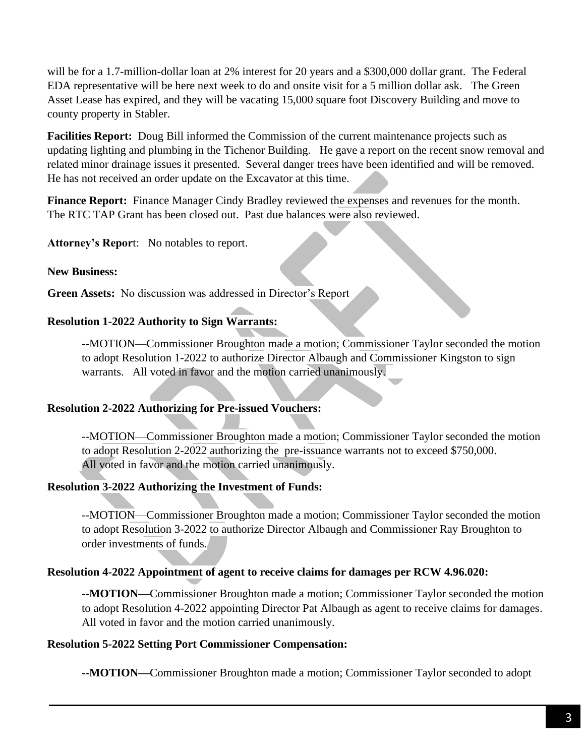will be for a 1.7-million-dollar loan at 2% interest for 20 years and a \$300,000 dollar grant. The Federal EDA representative will be here next week to do and onsite visit for a 5 million dollar ask. The Green Asset Lease has expired, and they will be vacating 15,000 square foot Discovery Building and move to county property in Stabler.

**Facilities Report:** Doug Bill informed the Commission of the current maintenance projects such as updating lighting and plumbing in the Tichenor Building. He gave a report on the recent snow removal and related minor drainage issues it presented. Several danger trees have been identified and will be removed. He has not received an order update on the Excavator at this time.

**Finance Report:** Finance Manager Cindy Bradley reviewed the expenses and revenues for the month. The RTC TAP Grant has been closed out. Past due balances were also reviewed.

**Attorney's Repor**t: No notables to report.

### **New Business:**

**Green Assets:** No discussion was addressed in Director's Report

### **Resolution 1-2022 Authority to Sign Warrants:**

--MOTION—Commissioner Broughton made a motion; Commissioner Taylor seconded the motion to adopt Resolution 1-2022 to authorize Director Albaugh and Commissioner Kingston to sign warrants. All voted in favor and the motion carried unanimously.

#### **Resolution 2-2022 Authorizing for Pre-issued Vouchers:**

--MOTION—Commissioner Broughton made a motion; Commissioner Taylor seconded the motion to adopt Resolution 2-2022 authorizing the pre-issuance warrants not to exceed \$750,000. All voted in favor and the motion carried unanimously.

## **Resolution 3-2022 Authorizing the Investment of Funds:**

--MOTION—Commissioner Broughton made a motion; Commissioner Taylor seconded the motion to adopt Resolution 3-2022 to authorize Director Albaugh and Commissioner Ray Broughton to order investments of funds.

#### **Resolution 4-2022 Appointment of agent to receive claims for damages per RCW 4.96.020:**

**--MOTION—**Commissioner Broughton made a motion; Commissioner Taylor seconded the motion to adopt Resolution 4-2022 appointing Director Pat Albaugh as agent to receive claims for damages. All voted in favor and the motion carried unanimously.

#### **Resolution 5-2022 Setting Port Commissioner Compensation:**

**--MOTION—**Commissioner Broughton made a motion; Commissioner Taylor seconded to adopt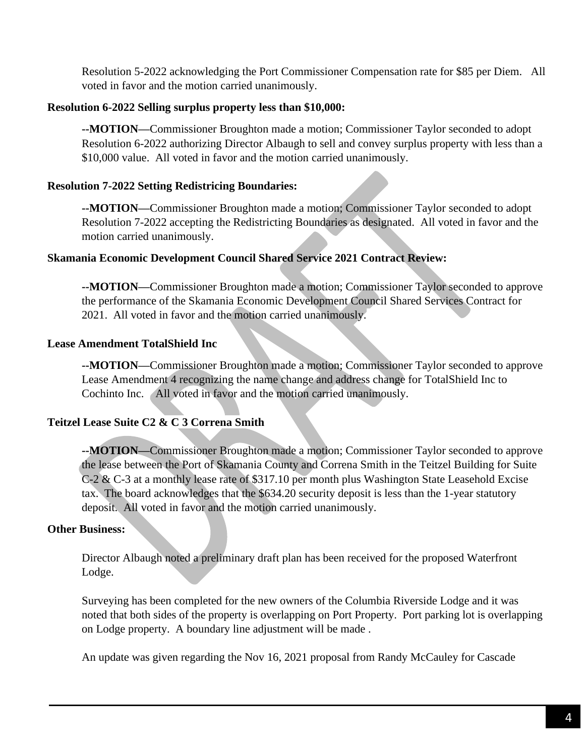Resolution 5-2022 acknowledging the Port Commissioner Compensation rate for \$85 per Diem. All voted in favor and the motion carried unanimously.

## **Resolution 6-2022 Selling surplus property less than \$10,000:**

**--MOTION—**Commissioner Broughton made a motion; Commissioner Taylor seconded to adopt Resolution 6-2022 authorizing Director Albaugh to sell and convey surplus property with less than a \$10,000 value. All voted in favor and the motion carried unanimously.

# **Resolution 7-2022 Setting Redistricing Boundaries:**

**--MOTION—**Commissioner Broughton made a motion; Commissioner Taylor seconded to adopt Resolution 7-2022 accepting the Redistricting Boundaries as designated. All voted in favor and the motion carried unanimously.

# **Skamania Economic Development Council Shared Service 2021 Contract Review:**

**--MOTION—**Commissioner Broughton made a motion; Commissioner Taylor seconded to approve the performance of the Skamania Economic Development Council Shared Services Contract for 2021. All voted in favor and the motion carried unanimously.

# **Lease Amendment TotalShield Inc**

**--MOTION—**Commissioner Broughton made a motion; Commissioner Taylor seconded to approve Lease Amendment 4 recognizing the name change and address change for TotalShield Inc to Cochinto Inc. All voted in favor and the motion carried unanimously.

# **Teitzel Lease Suite C2 & C 3 Correna Smith**

**--MOTION—**Commissioner Broughton made a motion; Commissioner Taylor seconded to approve the lease between the Port of Skamania County and Correna Smith in the Teitzel Building for Suite C-2 & C-3 at a monthly lease rate of \$317.10 per month plus Washington State Leasehold Excise tax. The board acknowledges that the \$634.20 security deposit is less than the 1-year statutory deposit. All voted in favor and the motion carried unanimously.

## **Other Business:**

Director Albaugh noted a preliminary draft plan has been received for the proposed Waterfront Lodge.

Surveying has been completed for the new owners of the Columbia Riverside Lodge and it was noted that both sides of the property is overlapping on Port Property. Port parking lot is overlapping on Lodge property. A boundary line adjustment will be made .

An update was given regarding the Nov 16, 2021 proposal from Randy McCauley for Cascade